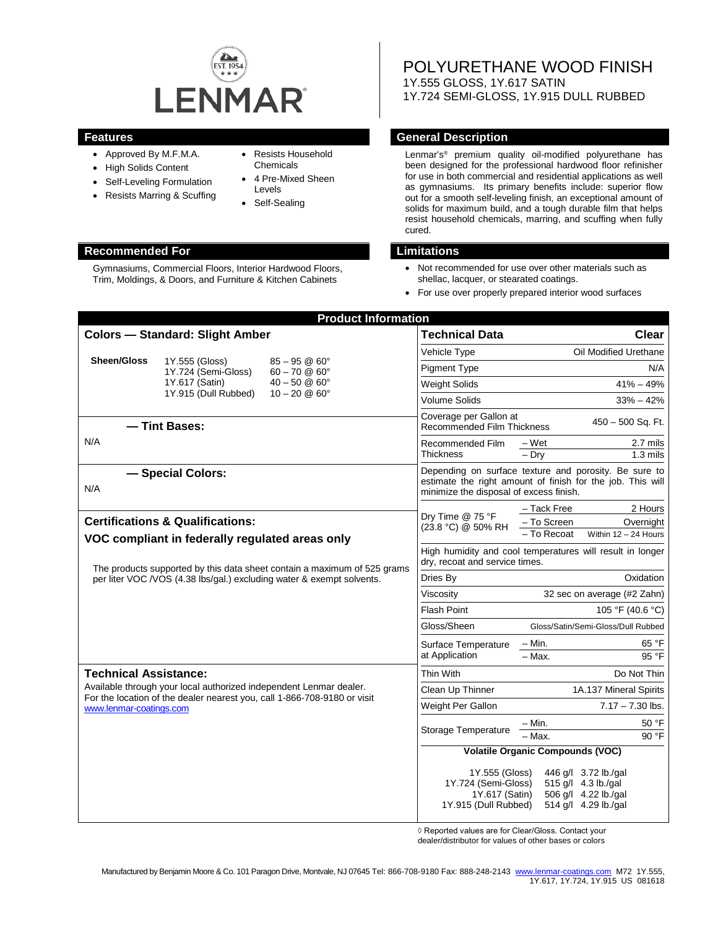

- Approved By M.F.M.A.
- High Solids Content
- Self-Leveling Formulation
- Resists Marring & Scuffing
- Resists Household Chemicals
- 4 Pre-Mixed Sheen Levels
- Self-Sealing

### **Recommended For Limitations**

Gymnasiums, Commercial Floors, Interior Hardwood Floors, Trim, Moldings, & Doors, and Furniture & Kitchen Cabinets

POLYURETHANE WOOD FINISH 1Y.555 GLOSS, 1Y.617 SATIN 1Y.724 SEMI-GLOSS, 1Y.915 DULL RUBBED

#### **Features General Description**

Lenmar's® premium quality oil-modified polyurethane has been designed for the professional hardwood floor refinisher for use in both commercial and residential applications as well as gymnasiums. Its primary benefits include: superior flow out for a smooth self-leveling finish, an exceptional amount of solids for maximum build, and a tough durable film that helps resist household chemicals, marring, and scuffing when fully cured.

- Not recommended for use over other materials such as shellac, lacquer, or stearated coatings.
- For use over properly prepared interior wood surfaces

| <b>Product Information</b>                                                                                                                                                     |                                       |                                                      |                                                                                                                                                                |                                                                   |
|--------------------------------------------------------------------------------------------------------------------------------------------------------------------------------|---------------------------------------|------------------------------------------------------|----------------------------------------------------------------------------------------------------------------------------------------------------------------|-------------------------------------------------------------------|
| <b>Colors - Standard: Slight Amber</b>                                                                                                                                         |                                       |                                                      | <b>Technical Data</b>                                                                                                                                          | Clear                                                             |
|                                                                                                                                                                                |                                       |                                                      | Vehicle Type                                                                                                                                                   | Oil Modified Urethane                                             |
| Sheen/Gloss                                                                                                                                                                    | 1Y.555 (Gloss)<br>1Y.724 (Semi-Gloss) | $85 - 95$ @ $60^{\circ}$<br>$60 - 70$ @ $60^{\circ}$ | <b>Pigment Type</b>                                                                                                                                            | N/A                                                               |
|                                                                                                                                                                                | 1Y.617 (Satin)                        | $40 - 50$ @ $60^{\circ}$                             | <b>Weight Solids</b>                                                                                                                                           | $41\% - 49\%$                                                     |
|                                                                                                                                                                                | 1Y.915 (Dull Rubbed)                  | $10 - 20 \& 60^{\circ}$                              | <b>Volume Solids</b>                                                                                                                                           | $33% - 42%$                                                       |
| - Tint Bases:                                                                                                                                                                  |                                       |                                                      | Coverage per Gallon at<br>450 - 500 Sq. Ft.<br><b>Recommended Film Thickness</b>                                                                               |                                                                   |
| N/A                                                                                                                                                                            |                                       |                                                      | Recommended Film<br><b>Thickness</b>                                                                                                                           | 2.7 mils<br>– Wet<br>$-$ Drv<br>$1.3$ mils                        |
| - Special Colors:<br>N/A                                                                                                                                                       |                                       |                                                      | Depending on surface texture and porosity. Be sure to<br>estimate the right amount of finish for the job. This will<br>minimize the disposal of excess finish. |                                                                   |
|                                                                                                                                                                                |                                       |                                                      | Dry Time @ 75 °F<br>(23.8 °C) @ 50% RH                                                                                                                         | - Tack Free<br>2 Hours                                            |
| <b>Certifications &amp; Qualifications:</b>                                                                                                                                    |                                       |                                                      |                                                                                                                                                                | - To Screen<br>Overnight<br>- To Recoat<br>Within $12 - 24$ Hours |
| VOC compliant in federally regulated areas only                                                                                                                                |                                       |                                                      |                                                                                                                                                                |                                                                   |
| The products supported by this data sheet contain a maximum of 525 grams<br>per liter VOC / VOS (4.38 lbs/gal.) excluding water & exempt solvents.                             |                                       |                                                      | High humidity and cool temperatures will result in longer<br>dry, recoat and service times.                                                                    |                                                                   |
|                                                                                                                                                                                |                                       |                                                      | Dries By                                                                                                                                                       | Oxidation                                                         |
|                                                                                                                                                                                |                                       |                                                      | Viscosity                                                                                                                                                      | 32 sec on average (#2 Zahn)                                       |
|                                                                                                                                                                                |                                       |                                                      | <b>Flash Point</b>                                                                                                                                             | 105 °F (40.6 °C)                                                  |
|                                                                                                                                                                                |                                       | Gloss/Sheen                                          | Gloss/Satin/Semi-Gloss/Dull Rubbed                                                                                                                             |                                                                   |
|                                                                                                                                                                                |                                       |                                                      | Surface Temperature<br>at Application                                                                                                                          | – Min.<br>65 °F                                                   |
|                                                                                                                                                                                |                                       | 95 °F<br>$-$ Max.                                    |                                                                                                                                                                |                                                                   |
| <b>Technical Assistance:</b><br>Available through your local authorized independent Lenmar dealer.<br>For the location of the dealer nearest you, call 1-866-708-9180 or visit |                                       |                                                      | Thin With                                                                                                                                                      | Do Not Thin                                                       |
|                                                                                                                                                                                |                                       |                                                      | Clean Up Thinner                                                                                                                                               | 1A.137 Mineral Spirits                                            |
|                                                                                                                                                                                | www.lenmar-coatings.com               |                                                      | Weight Per Gallon                                                                                                                                              | $7.17 - 7.30$ lbs.                                                |
|                                                                                                                                                                                |                                       |                                                      | Storage Temperature                                                                                                                                            | 50 °F<br>– Min.                                                   |
|                                                                                                                                                                                |                                       |                                                      |                                                                                                                                                                | - Max.<br>90 °F                                                   |
|                                                                                                                                                                                |                                       |                                                      | <b>Volatile Organic Compounds (VOC)</b>                                                                                                                        |                                                                   |
|                                                                                                                                                                                |                                       |                                                      | 1Y.555 (Gloss)                                                                                                                                                 | 446 g/l 3.72 lb./gal                                              |
|                                                                                                                                                                                |                                       |                                                      | 1Y.724 (Semi-Gloss)<br>1Y.617 (Satin)                                                                                                                          | 515 g/l 4.3 lb./gal<br>506 g/l 4.22 lb./gal                       |
|                                                                                                                                                                                |                                       |                                                      | 1Y.915 (Dull Rubbed)                                                                                                                                           | 514 g/l 4.29 lb./gal                                              |
|                                                                                                                                                                                |                                       |                                                      |                                                                                                                                                                |                                                                   |

◊ Reported values are for Clear/Gloss. Contact your

dealer/distributor for values of other bases or colors